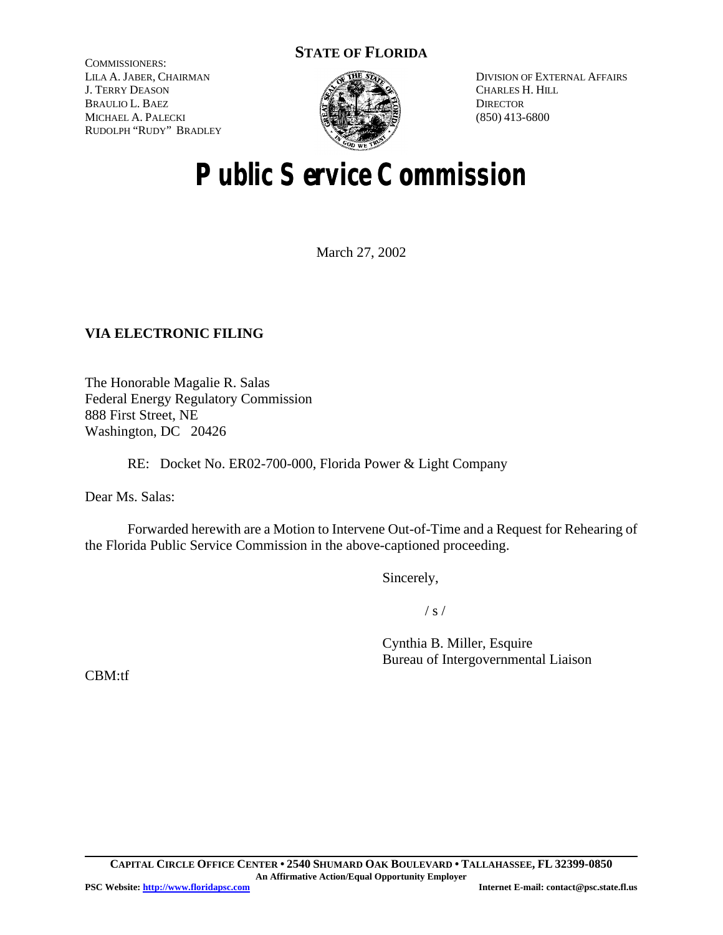### **STATE OF FLORIDA**

COMMISSIONERS: LILA A. JABER, CHAIRMAN J. TERRY DEASON BRAULIO L. BAEZ MICHAEL A. PALECKI RUDOLPH "RUDY" BRADLEY



DIVISION OF EXTERNAL AFFAIRS CHARLES H. HILL **DIRECTOR** (850) 413-6800

# **Public Service Commission**

March 27, 2002

## **VIA ELECTRONIC FILING**

The Honorable Magalie R. Salas Federal Energy Regulatory Commission 888 First Street, NE Washington, DC 20426

RE: Docket No. ER02-700-000, Florida Power & Light Company

Dear Ms. Salas:

Forwarded herewith are a Motion to Intervene Out-of-Time and a Request for Rehearing of the Florida Public Service Commission in the above-captioned proceeding.

Sincerely,

 $/ s /$ 

Cynthia B. Miller, Esquire Bureau of Intergovernmental Liaison

CBM:tf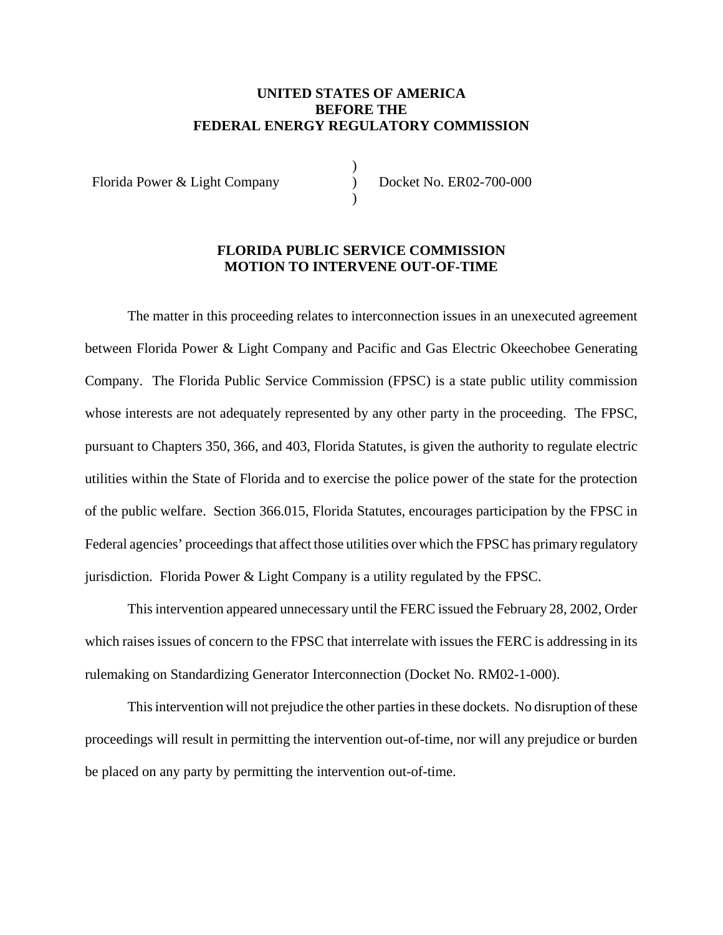#### **UNITED STATES OF AMERICA BEFORE THE FEDERAL ENERGY REGULATORY COMMISSION**

)  $\lambda$ )

Florida Power & Light Company

Docket No. ER02-700-000

#### **FLORIDA PUBLIC SERVICE COMMISSION MOTION TO INTERVENE OUT-OF-TIME**

The matter in this proceeding relates to interconnection issues in an unexecuted agreement between Florida Power & Light Company and Pacific and Gas Electric Okeechobee Generating Company. The Florida Public Service Commission (FPSC) is a state public utility commission whose interests are not adequately represented by any other party in the proceeding. The FPSC, pursuant to Chapters 350, 366, and 403, Florida Statutes, is given the authority to regulate electric utilities within the State of Florida and to exercise the police power of the state for the protection of the public welfare. Section 366.015, Florida Statutes, encourages participation by the FPSC in Federal agencies' proceedings that affect those utilities over which the FPSC has primary regulatory jurisdiction. Florida Power & Light Company is a utility regulated by the FPSC.

This intervention appeared unnecessary until the FERC issued the February 28, 2002, Order which raises issues of concern to the FPSC that interrelate with issues the FERC is addressing in its rulemaking on Standardizing Generator Interconnection (Docket No. RM02-1-000).

This intervention will not prejudice the other parties in these dockets. No disruption of these proceedings will result in permitting the intervention out-of-time, nor will any prejudice or burden be placed on any party by permitting the intervention out-of-time.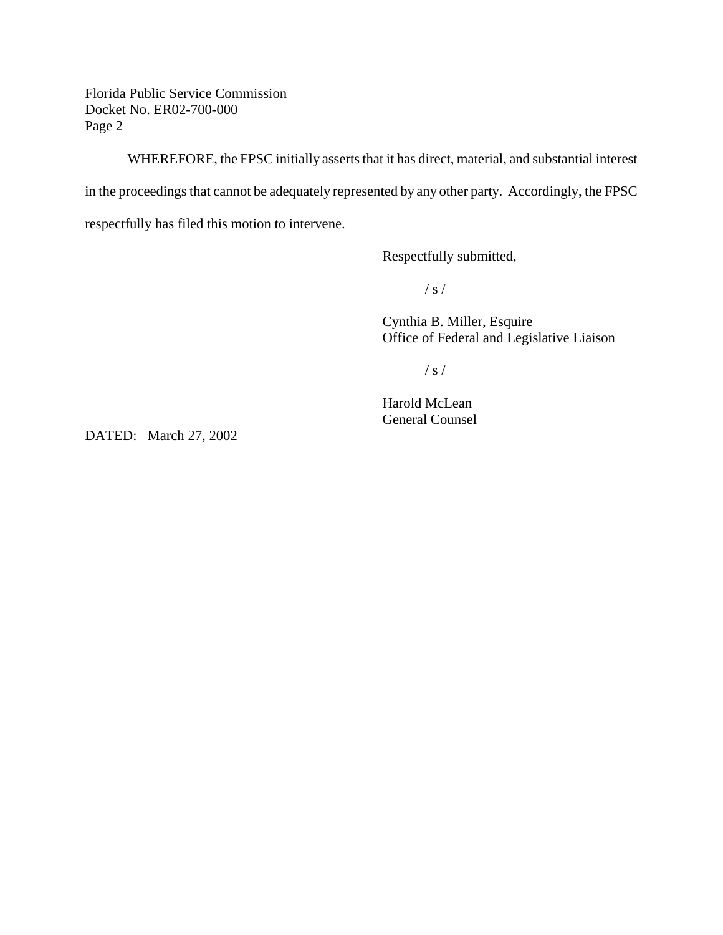WHEREFORE, the FPSC initially asserts that it has direct, material, and substantial interest in the proceedings that cannot be adequately represented by any other party. Accordingly, the FPSC respectfully has filed this motion to intervene.

Respectfully submitted,

 $/ s /$ 

Cynthia B. Miller, Esquire Office of Federal and Legislative Liaison

/ s /

Harold McLean General Counsel

DATED: March 27, 2002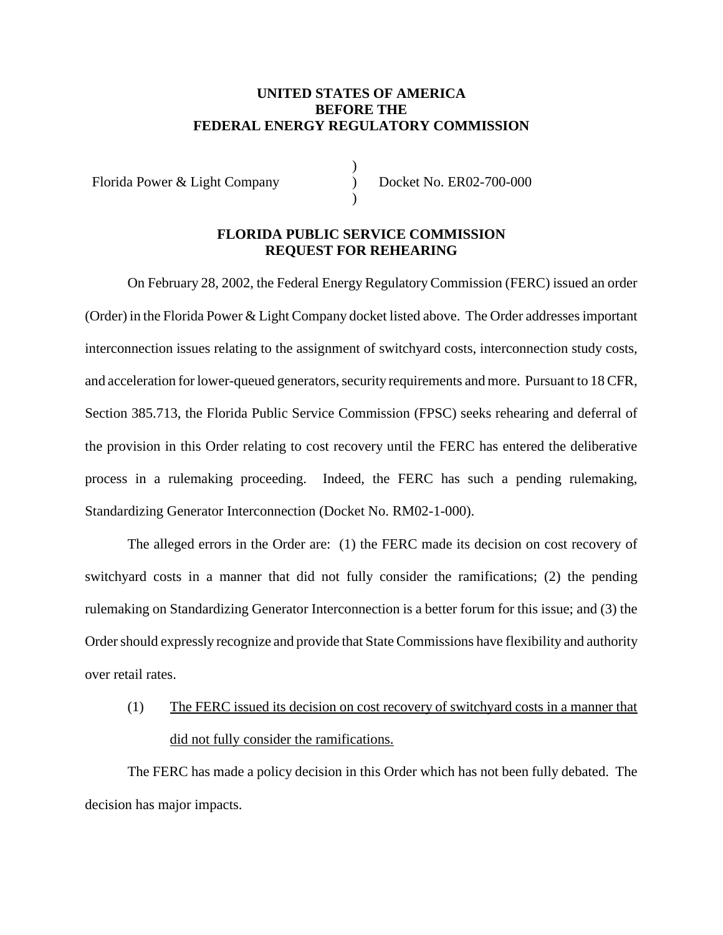#### **UNITED STATES OF AMERICA BEFORE THE FEDERAL ENERGY REGULATORY COMMISSION**

)  $\lambda$ )

Florida Power & Light Company

Docket No. ER02-700-000

#### **FLORIDA PUBLIC SERVICE COMMISSION REQUEST FOR REHEARING**

On February 28, 2002, the Federal Energy Regulatory Commission (FERC) issued an order (Order) in the Florida Power & Light Company docket listed above. The Order addresses important interconnection issues relating to the assignment of switchyard costs, interconnection study costs, and acceleration for lower-queued generators, security requirements and more. Pursuant to 18 CFR, Section 385.713, the Florida Public Service Commission (FPSC) seeks rehearing and deferral of the provision in this Order relating to cost recovery until the FERC has entered the deliberative process in a rulemaking proceeding. Indeed, the FERC has such a pending rulemaking, Standardizing Generator Interconnection (Docket No. RM02-1-000).

The alleged errors in the Order are: (1) the FERC made its decision on cost recovery of switchyard costs in a manner that did not fully consider the ramifications; (2) the pending rulemaking on Standardizing Generator Interconnection is a better forum for this issue; and (3) the Order should expressly recognize and provide that State Commissions have flexibility and authority over retail rates.

(1) The FERC issued its decision on cost recovery of switchyard costs in a manner that did not fully consider the ramifications.

The FERC has made a policy decision in this Order which has not been fully debated. The decision has major impacts.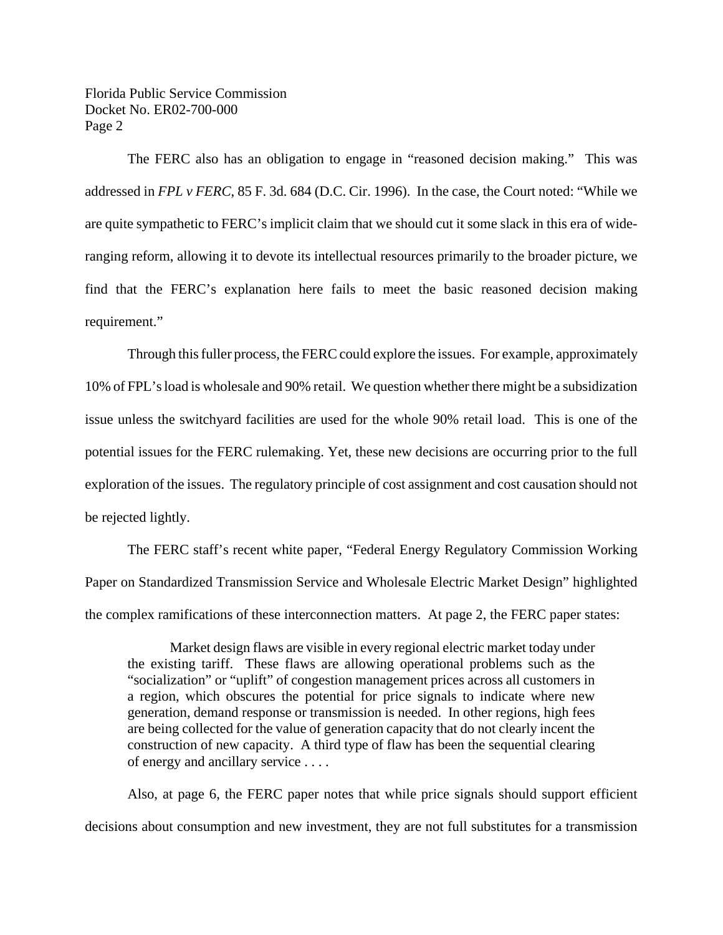The FERC also has an obligation to engage in "reasoned decision making." This was addressed in *FPL v FERC*, 85 F. 3d. 684 (D.C. Cir. 1996). In the case, the Court noted: "While we are quite sympathetic to FERC's implicit claim that we should cut it some slack in this era of wideranging reform, allowing it to devote its intellectual resources primarily to the broader picture, we find that the FERC's explanation here fails to meet the basic reasoned decision making requirement."

Through this fuller process, the FERC could explore the issues. For example, approximately 10% of FPL'sload is wholesale and 90% retail. We question whether there might be a subsidization issue unless the switchyard facilities are used for the whole 90% retail load. This is one of the potential issues for the FERC rulemaking. Yet, these new decisions are occurring prior to the full exploration of the issues. The regulatory principle of cost assignment and cost causation should not be rejected lightly.

The FERC staff's recent white paper, "Federal Energy Regulatory Commission Working Paper on Standardized Transmission Service and Wholesale Electric Market Design" highlighted the complex ramifications of these interconnection matters. At page 2, the FERC paper states:

Market design flaws are visible in every regional electric market today under the existing tariff. These flaws are allowing operational problems such as the "socialization" or "uplift" of congestion management prices across all customers in a region, which obscures the potential for price signals to indicate where new generation, demand response or transmission is needed. In other regions, high fees are being collected for the value of generation capacity that do not clearly incent the construction of new capacity. A third type of flaw has been the sequential clearing of energy and ancillary service . . . .

Also, at page 6, the FERC paper notes that while price signals should support efficient decisions about consumption and new investment, they are not full substitutes for a transmission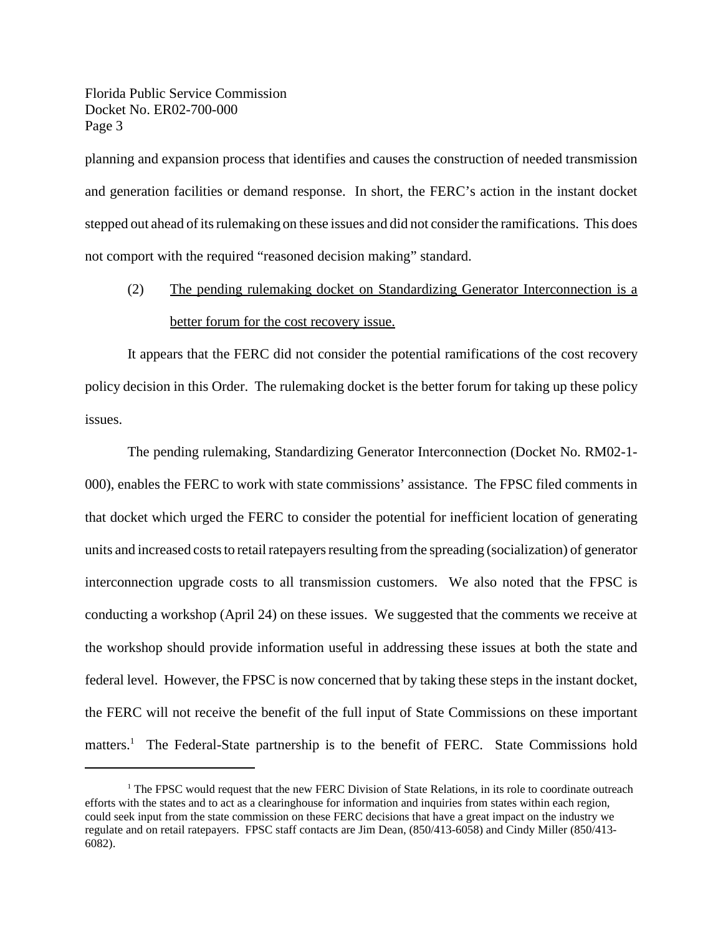planning and expansion process that identifies and causes the construction of needed transmission and generation facilities or demand response. In short, the FERC's action in the instant docket stepped out ahead of its rulemaking on these issues and did not consider the ramifications. This does not comport with the required "reasoned decision making" standard.

# (2) The pending rulemaking docket on Standardizing Generator Interconnection is a better forum for the cost recovery issue.

It appears that the FERC did not consider the potential ramifications of the cost recovery policy decision in this Order. The rulemaking docket is the better forum for taking up these policy issues.

The pending rulemaking, Standardizing Generator Interconnection (Docket No. RM02-1- 000), enables the FERC to work with state commissions' assistance. The FPSC filed comments in that docket which urged the FERC to consider the potential for inefficient location of generating units and increased costs to retail ratepayers resulting from the spreading (socialization) of generator interconnection upgrade costs to all transmission customers. We also noted that the FPSC is conducting a workshop (April 24) on these issues. We suggested that the comments we receive at the workshop should provide information useful in addressing these issues at both the state and federal level. However, the FPSC is now concerned that by taking these steps in the instant docket, the FERC will not receive the benefit of the full input of State Commissions on these important matters.<sup>1</sup> The Federal-State partnership is to the benefit of FERC. State Commissions hold

<sup>&</sup>lt;sup>1</sup> The FPSC would request that the new FERC Division of State Relations, in its role to coordinate outreach efforts with the states and to act as a clearinghouse for information and inquiries from states within each region, could seek input from the state commission on these FERC decisions that have a great impact on the industry we regulate and on retail ratepayers. FPSC staff contacts are Jim Dean, (850/413-6058) and Cindy Miller (850/413- 6082).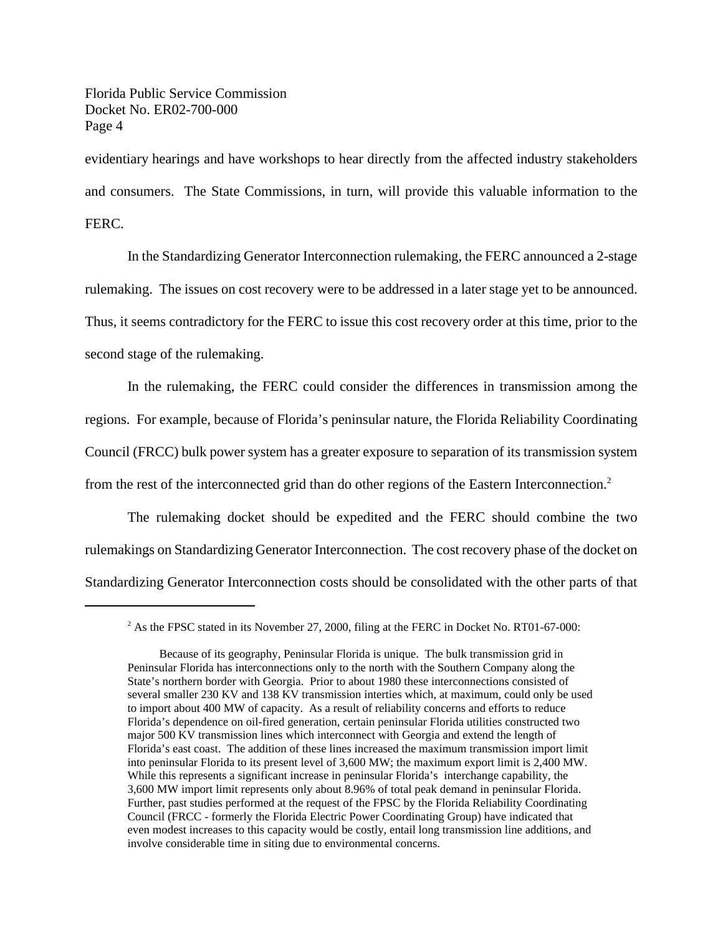evidentiary hearings and have workshops to hear directly from the affected industry stakeholders and consumers. The State Commissions, in turn, will provide this valuable information to the FERC.

In the Standardizing Generator Interconnection rulemaking, the FERC announced a 2-stage rulemaking. The issues on cost recovery were to be addressed in a later stage yet to be announced. Thus, it seems contradictory for the FERC to issue this cost recovery order at this time, prior to the second stage of the rulemaking.

In the rulemaking, the FERC could consider the differences in transmission among the regions. For example, because of Florida's peninsular nature, the Florida Reliability Coordinating Council (FRCC) bulk power system has a greater exposure to separation of its transmission system from the rest of the interconnected grid than do other regions of the Eastern Interconnection.<sup>2</sup>

The rulemaking docket should be expedited and the FERC should combine the two rulemakings on Standardizing Generator Interconnection. The cost recovery phase of the docket on Standardizing Generator Interconnection costs should be consolidated with the other parts of that

<sup>&</sup>lt;sup>2</sup> As the FPSC stated in its November 27, 2000, filing at the FERC in Docket No. RT01-67-000:

Because of its geography, Peninsular Florida is unique. The bulk transmission grid in Peninsular Florida has interconnections only to the north with the Southern Company along the State's northern border with Georgia. Prior to about 1980 these interconnections consisted of several smaller 230 KV and 138 KV transmission interties which, at maximum, could only be used to import about 400 MW of capacity. As a result of reliability concerns and efforts to reduce Florida's dependence on oil-fired generation, certain peninsular Florida utilities constructed two major 500 KV transmission lines which interconnect with Georgia and extend the length of Florida's east coast. The addition of these lines increased the maximum transmission import limit into peninsular Florida to its present level of 3,600 MW; the maximum export limit is 2,400 MW. While this represents a significant increase in peninsular Florida's interchange capability, the 3,600 MW import limit represents only about 8.96% of total peak demand in peninsular Florida. Further, past studies performed at the request of the FPSC by the Florida Reliability Coordinating Council (FRCC - formerly the Florida Electric Power Coordinating Group) have indicated that even modest increases to this capacity would be costly, entail long transmission line additions, and involve considerable time in siting due to environmental concerns.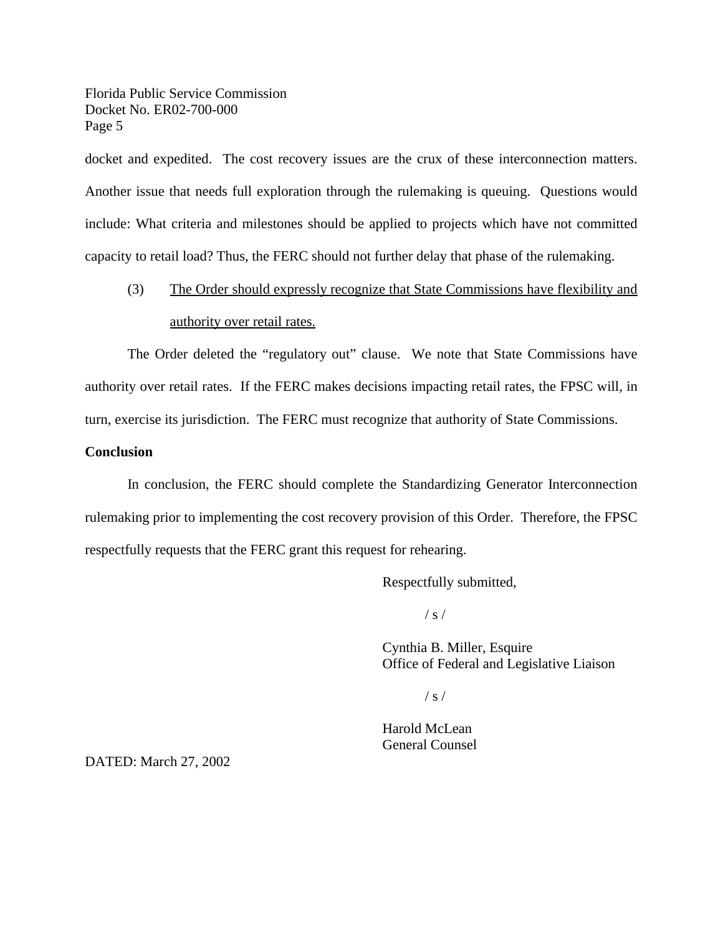docket and expedited. The cost recovery issues are the crux of these interconnection matters. Another issue that needs full exploration through the rulemaking is queuing. Questions would include: What criteria and milestones should be applied to projects which have not committed capacity to retail load? Thus, the FERC should not further delay that phase of the rulemaking.

(3) The Order should expressly recognize that State Commissions have flexibility and authority over retail rates.

The Order deleted the "regulatory out" clause. We note that State Commissions have authority over retail rates. If the FERC makes decisions impacting retail rates, the FPSC will, in turn, exercise its jurisdiction. The FERC must recognize that authority of State Commissions.

#### **Conclusion**

In conclusion, the FERC should complete the Standardizing Generator Interconnection rulemaking prior to implementing the cost recovery provision of this Order. Therefore, the FPSC respectfully requests that the FERC grant this request for rehearing.

Respectfully submitted,

 $/ s /$ 

Cynthia B. Miller, Esquire Office of Federal and Legislative Liaison

 $/ s /$ 

Harold McLean General Counsel

DATED: March 27, 2002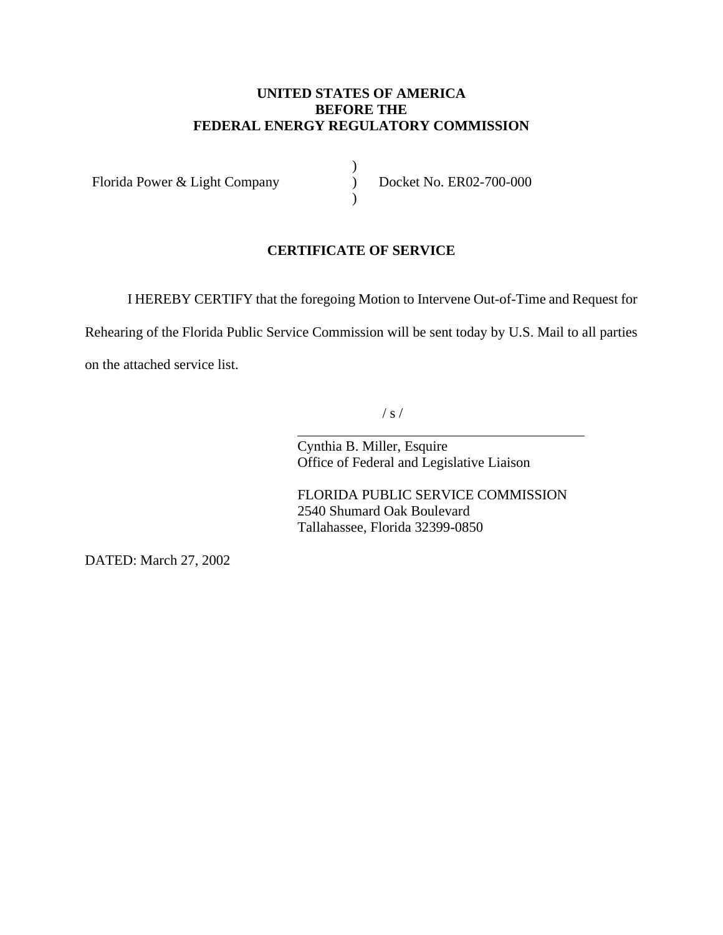#### **UNITED STATES OF AMERICA BEFORE THE FEDERAL ENERGY REGULATORY COMMISSION**

)  $\mathcal{L}$  $\lambda$ 

Florida Power & Light Company

Docket No. ER02-700-000

#### **CERTIFICATE OF SERVICE**

I HEREBY CERTIFY that the foregoing Motion to Intervene Out-of-Time and Request for

Rehearing of the Florida Public Service Commission will be sent today by U.S. Mail to all parties on the attached service list.

 $\overline{a}$ 

 $/ s /$ 

Cynthia B. Miller, Esquire Office of Federal and Legislative Liaison

FLORIDA PUBLIC SERVICE COMMISSION 2540 Shumard Oak Boulevard Tallahassee, Florida 32399-0850

DATED: March 27, 2002